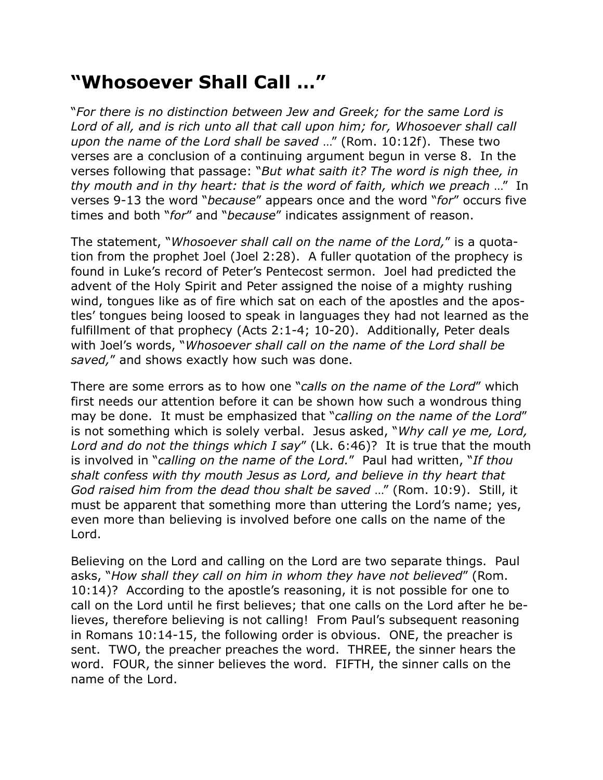## **"Whosoever Shall Call …"**

"*For there is no distinction between Jew and Greek; for the same Lord is*  Lord of all, and is rich unto all that call upon him; for, Whosoever shall call *upon the name of the Lord shall be saved* …" (Rom. 10:12f). These two verses are a conclusion of a continuing argument begun in verse 8. In the verses following that passage: "*But what saith it? The word is nigh thee, in thy mouth and in thy heart: that is the word of faith, which we preach* …" In verses 9-13 the word "*because*" appears once and the word "*for*" occurs five times and both "*for*" and "*because*" indicates assignment of reason.

The statement, "*Whosoever shall call on the name of the Lord,*" is a quotation from the prophet Joel (Joel 2:28). A fuller quotation of the prophecy is found in Luke's record of Peter's Pentecost sermon. Joel had predicted the advent of the Holy Spirit and Peter assigned the noise of a mighty rushing wind, tongues like as of fire which sat on each of the apostles and the apostles' tongues being loosed to speak in languages they had not learned as the fulfillment of that prophecy (Acts 2:1-4; 10-20). Additionally, Peter deals with Joel's words, "*Whosoever shall call on the name of the Lord shall be saved,*" and shows exactly how such was done.

There are some errors as to how one "*calls on the name of the Lord*" which first needs our attention before it can be shown how such a wondrous thing may be done. It must be emphasized that "*calling on the name of the Lord*" is not something which is solely verbal. Jesus asked, "*Why call ye me, Lord, Lord and do not the things which I say*" (Lk. 6:46)? It is true that the mouth is involved in "*calling on the name of the Lord.*" Paul had written, "*If thou shalt confess with thy mouth Jesus as Lord, and believe in thy heart that God raised him from the dead thou shalt be saved* …" (Rom. 10:9). Still, it must be apparent that something more than uttering the Lord's name; yes, even more than believing is involved before one calls on the name of the Lord.

Believing on the Lord and calling on the Lord are two separate things. Paul asks, "*How shall they call on him in whom they have not believed*" (Rom. 10:14)? According to the apostle's reasoning, it is not possible for one to call on the Lord until he first believes; that one calls on the Lord after he believes, therefore believing is not calling! From Paul's subsequent reasoning in Romans 10:14-15, the following order is obvious. ONE, the preacher is sent. TWO, the preacher preaches the word. THREE, the sinner hears the word. FOUR, the sinner believes the word. FIFTH, the sinner calls on the name of the Lord.